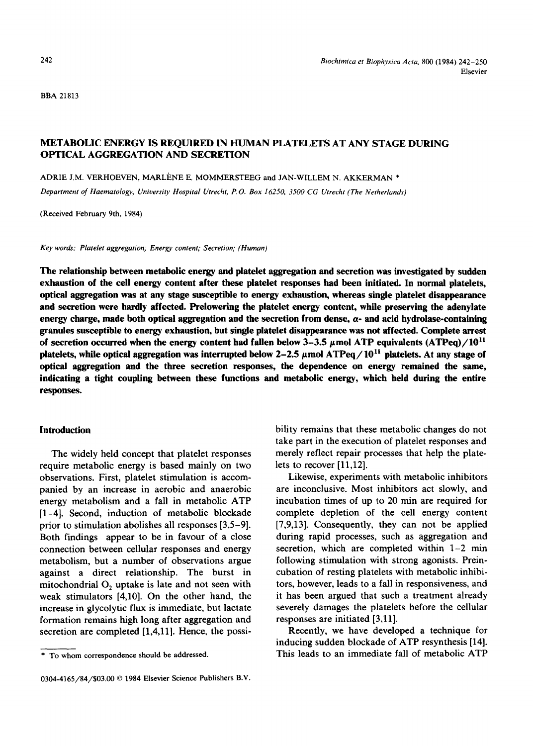BBA21813

# METABOLIC ENERGY IS REQUIRED IN HUMAN PLATELETS AT ANY STAGE DURING OPTICAL AGGREGATION AND SECRETION

ADRIE J.M. VERHOEVEN, MARLÈNE E. MOMMERSTEEG and JAN-WILLEM N. AKKERMAN \*

*Department of Haematology, Unioersity Hospital Utrecht, P.O. Box 16250, 3500 CG Utrecht (The Netherlands)* 

(Received February 9th, 1984)

*Key words: Platelet aggregation," Energy content; Secretion; (Human)* 

**The relationship between metabolic energy and platelet aggregation and secretion was investigated by sudden exhaustion of the cell energy content after these platelet responses had been initiated. In normal platelets, optical aggregation was at any stage susceptible to energy exhaustion, whereas single platelet disappearance and secretion were hardly affected. Prelowering the platelet energy content, while preserving the adenylate**  energy charge, made both optical aggregation and the secretion from dense,  $\alpha$ - and acid hydrolase-containing **granules susceptible to energy exhaustion, but single platelet disappearance was not affected. Complete arrest**  of secretion occurred when the energy content had fallen below  $3-3.5 \mu$  mol ATP equivalents (ATPeq)/10<sup>11</sup> platelets, while optical aggregation was interrupted below  $2-2.5 \mu$  mol ATPeq  $/10^{11}$  platelets. At any stage of **optical aggregation and the three secretion responses, the dependence on energy remained the same, indicating a tight coupling between these functions and metabolic energy, which held during the entire responses.** 

# **Introduction**

The widely held concept that platelet responses require metabolic energy is based mainly on two observations. First, platelet stimulation is accompanied by an increase in aerobic and anaerobic energy metabolism and a fall in metabolic ATP [1-4]. Second, induction of metabolic blockade prior to stimulation abolishes all responses [3,5-9]. Both findings appear to be in favour of a close connection between cellular responses and energy metabolism, but a number of observations argue against a direct relationship. The burst in mitochondrial  $O<sub>2</sub>$  uptake is late and not seen with weak stimulators [4,10]. On the other hand, the increase in glycolytic flux is immediate, but lactate formation remains high long after aggregation and secretion are completed [1,4,11]. Hence, the possi-

bility remains that these metabolic changes do not take part in the execution of platelet responses and merely reflect repair processes that help the platelets to recover [11,12].

Likewise, experiments with metabolic inhibitors are inconclusive. Most inhibitors act slowly, and incubation times of up to 20 min are required for complete depletion of the cell energy content [7,9,13]. Consequently, they can not be applied during rapid processes, such as aggregation and secretion, which are completed within 1-2 min following stimulation with strong agonists. Preincubation of resting platelets with metabolic inhibitors, however, leads to a fall in responsiveness, and it has been argued that such a treatment already severely damages the platelets before the cellular responses are initiated [3,11].

Recently, we have developed a technique for inducing sudden blockade of ATP resynthesis [14]. This leads to an immediate fall of metabolic ATP

<sup>\*</sup> To whom correspondence should be addressed.

<sup>0304-4165/84/\$03.00 © 1984</sup> Elsevier Science Publishers B.V.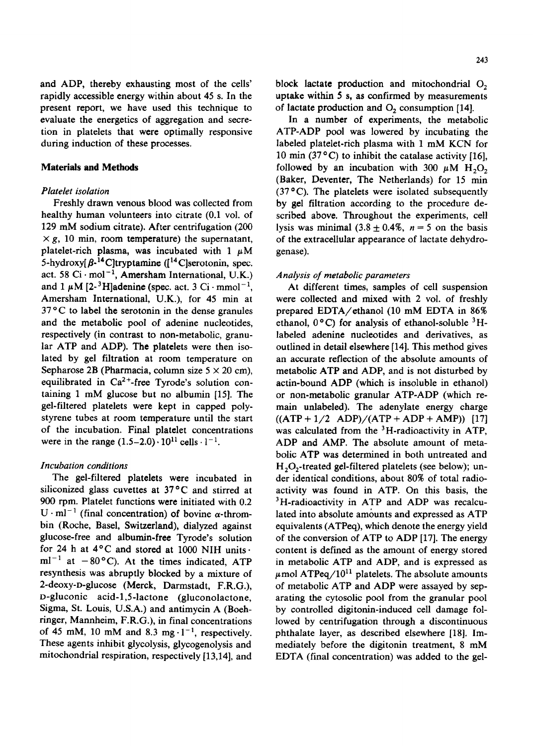and ADP, thereby exhausting most of the cells' rapidly accessible energy within about 45 s. In the present report, we have used this technique to evaluate the energetics of aggregation and secretion in platelets that were optimally responsive during induction of these processes,

### **Materials and Methods**

### *Piatelet isolation*

Freshly drawn venous blood was collected from healthy human volunteers into citrate (0.1 vol. of 129 mM sodium citrate). After centrifugation (200  $\times g$ , 10 min, room temperature) the supernatant, platelet-rich plasma, was incubated with  $1 \mu M$ 5-hydroxy[ $\beta$ -<sup>14</sup>C]tryptamine ([<sup>14</sup>C]serotonin, spec. act. 58  $Ci \cdot mol^{-1}$ , Amersham International, U.K.) and 1  $\mu$ M [2-<sup>3</sup>H]adenine (spec. act. 3 Ci·mmol<sup>-1</sup>, Amersham International, U.K.), for 45 min at  $37^{\circ}$ C to label the serotonin in the dense granules and the metabolic pool of adenine nucleotides, respectively (in contrast to non-metabolic, granular ATP and ADP). The platelets were then isolated by gel filtration at room temperature on Sepharose 2B (Pharmacia, column size  $5 \times 20$  cm), equilibrated in  $Ca^{2+}$ -free Tyrode's solution containing 1 mM glucose but no albumin [15]. The gel-filtered platelets were kept in capped polystyrene tubes at room temperature until the start of the incubation. Final platelet concentrations were in the range  $(1.5-2.0) \cdot 10^{11}$  cells  $\cdot 1^{-1}$ .

#### *Incubation conditions*

The gel-filtered platelets were incubated in siliconized glass cuvettes at  $37^{\circ}$ C and stirred at 900 rpm. Platelet functions were initiated with 0.2  $U \cdot ml^{-1}$  (final concentration) of bovine  $\alpha$ -thrombin (Roche, Basel, Switzerland), dialyzed against glucose-free and albumin-free Tyrode's solution for 24 h at 4°C and stored at 1000 NIH units.  $ml^{-1}$  at  $-80^{\circ}$ C). At the times indicated, ATP resynthesis was abruptly blocked by a mixture of 2-deoxy-o-glucose (Merck, Darmstadt, F.R.G.), D-gluconic acid-l,5-1actone (gluconolactone, Sigma, St. Louis, U.S.A.) and antimycin A (Boehringer, Mannheim, F.R.G.), in final concentrations of 45 mM, 10 mM and 8.3 mg $\cdot$ 1<sup>-1</sup>, respectively. These agents inhibit glycolysis, glycogenolysis and mitochondrial respiration, respectively [13,14], and block lactate production and mitochondrial  $O<sub>2</sub>$ uptake within 5 s, as confirmed by measurements of lactate production and  $O<sub>2</sub>$  consumption [14].

In a number of experiments, the metabolic ATP-ADP pool was lowered by incubating the labeled platelet-rich plasma with 1 mM KCN for 10 min (37 $\degree$ C) to inhibit the catalase activity [16]. followed by an incubation with 300  $\mu$ M H<sub>2</sub>O<sub>2</sub> (Baker, Deventer, The Netherlands) for 15 min  $(37 °C)$ . The platelets were isolated subsequently by gel filtration according to the procedure described above. Throughout the experiments, cell lysis was minimal  $(3.8 \pm 0.4\%)$ ,  $n = 5$  on the basis of the extracellular appearance of lactate dehydrogenase).

# *Analysis of metabolic parameters*

At different times, samples of cell suspension were collected and mixed with 2 vol. of freshly prepared EDTA/ethanol (10 mM EDTA in 86% ethanol,  $0^{\circ}$ C) for analysis of ethanol-soluble  $3H$ labeled adenine nucleotides and derivatives, as outlined in detail elsewhere [14]. This method gives an accurate reflection of the absolute amounts of metabolic ATP and ADP, and is not disturbed by actin-bound ADP (which is insoluble in ethanol) or non-metabolic granular ATP-ADP (which remain unlabeled). The adenylate energy charge  $((ATP + 1/2 ADP)/(ATP + ADP + AMP))$  [17] was calculated from the <sup>3</sup>H-radioactivity in ATP, ADP and AMP. The absolute amount of metabolic ATP was determined in both untreated and  $H<sub>2</sub>O<sub>2</sub>$ -treated gel-filtered platelets (see below); under identical conditions, about 80% of total radioactivity was found in ATP. On this basis, the <sup>3</sup>H-radioactivity in ATP and ADP was recalculated into absolute amounts and expressed as ATP equivalents (ATPeq), which denote the energy yield of the conversion of ATP to ADP [17]. The energy content is defined as the amount of energy stored in metabolic ATP and ADP, and is expressed as  $\mu$ mol ATPeq/10<sup>11</sup> platelets. The absolute amounts of metabolic ATP and ADP were assayed by separating the cytosolic pool from the granular pool by controlled digitonin-induced cell damage followed by centrifugation through a discontinuous phthalate layer, as described elsewhere [18]. Immediately before the digitonin treatment, 8 mM EDTA (final concentration) was added to the gel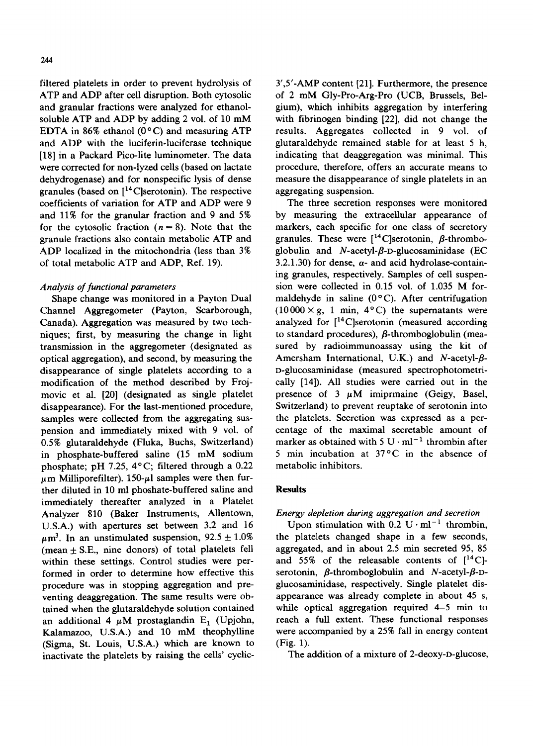filtered platelets in order to prevent hydrolysis of ATP and ADP after cell disruption. Both cytosolic and granular fractions were analyzed for ethanolsoluble ATP and ADP by adding 2 vol. of 10 mM EDTA in 86% ethanol ( $0^{\circ}$ C) and measuring ATP and ADP with the luciferin-luciferase technique [18] in a Packard Pico-lite luminometer. The data were corrected for non-lyzed cells (based on lactate dehydrogenase) and for nonspecific lysis of dense granules (based on  $[14C]$ serotonin). The respective coefficients of variation for ATP and ADP were 9 and 11% for the granular fraction and 9 and 5% for the cytosolic fraction  $(n = 8)$ . Note that the granule fractions also contain metabolic ATP and ADP localized in the mitochondria (less than 3% of total metabolic ATP and ADP, Ref. 19).

### *Analysis of functional parameters*

Shape change was monitored in a Payton Dual Channel Aggregometer (Payton, Scarborough, Canada). Aggregation was measured by two techniques; first, by measuring the change in light transmission in the aggregometer (designated as optical aggregation), and second, by measuring the disappearance of single platelets according to a modification of the method described by Frojmovic et al. [20] (designated as single platelet disappearance). For the last-mentioned procedure, samples were collected from the aggregating suspension and immediately mixed with 9 vol. of 0.5% glutaraldehyde (Fluka, Buchs, Switzerland) in phosphate-buffered saline (15 mM sodium phosphate; pH 7.25, 4°C; filtered through a 0.22  $\mu$ m Milliporefilter). 150- $\mu$ l samples were then further diluted in 10 ml phoshate-buffered saline and immediately thereafter analyzed in a Platelet Analyzer 810 (Baker Instruments, Allentown, U.S.A.) with apertures set between 3.2 and 16  $\mu$ m<sup>3</sup>. In an unstimulated suspension, 92.5  $\pm$  1.0% (mean  $\pm$  S.E., nine donors) of total platelets fell within these settings. Control studies were performed in order to determine how effective this procedure was in stopping aggregation and preventing deaggregation. The same results were obtained when the glutaraldehyde solution contained an additional 4  $\mu$ M prostaglandin E<sub>1</sub> (Upjohn, Kalamazoo, U.S.A.) and 10 mM theophylline (Sigma, St. Louis, U.S.A.) which are known to inactivate the platelets by raising the cells' cyclic3',5'-AMP content [21]. Furthermore, the presence of 2 mM Gly-Pro-Arg-Pro (UCB, Brussels, Belgium), which inhibits aggregation by interfering with fibrinogen binding [22], did not change the results. Aggregates collected in 9 vol. of glutaraldehyde remained stable for at least 5 h, indicating that deaggregation was minimal. This procedure, therefore, offers an accurate means to measure the disappearance of single platelets in an aggregating suspension.

The three secretion responses were monitored by measuring the extracellular appearance of markers, each specific for one class of secretory granules. These were  $[{}^{14}$ C serotonin,  $\beta$ -thromboglobulin and  $N$ -acetyl- $\beta$ -D-glucosaminidase (EC 3.2.1.30) for dense,  $\alpha$ - and acid hydrolase-containing granules, respectively. Samples of cell suspension were collected in 0.15 vol. of 1.035 M formaldehyde in saline  $(0^{\circ}C)$ . After centrifugation  $(10000 \times g, 1 \text{ min}, 4^{\circ}\text{C})$  the supernatants were analyzed for  $[14C]$ serotonin (measured according to standard procedures),  $\beta$ -thromboglobulin (measured by radioimmunoassay using the kit of Amersham International, U.K.) and N-acetyl- $\beta$ -D-glucosaminidase (measured spectrophotometrically [14]). All studies were carried out in the presence of 3  $\mu$ M imiprmaine (Geigy, Basel, Switzerland) to prevent reuptake of serotonin into the platelets. Secretion was expressed as a percentage of the maximal secretable amount of marker as obtained with 5  $U \cdot ml^{-1}$  thrombin after 5 min incubation at  $37^{\circ}$ C in the absence of metabolic inhibitors.

### **Results**

# *Energy depletion during aggregation and secretion*

Upon stimulation with  $0.2 \text{ U} \cdot \text{ml}^{-1}$  thrombin, the platelets changed shape in a few seconds, aggregated, and in about 2.5 min secreted 95, 85 and 55% of the releasable contents of  $[^{14}C]$ serotonin,  $\beta$ -thromboglobulin and *N*-acetyl- $\beta$ -Dglucosaminidase, respectively. Single platelet disappearance was already complete in about 45 s, while optical aggregation required 4-5 min to reach a full extent. These functional responses were accompanied by a 25% fall in energy content (Fig. 1).

The addition of a mixture of 2-deoxy-D-glucose,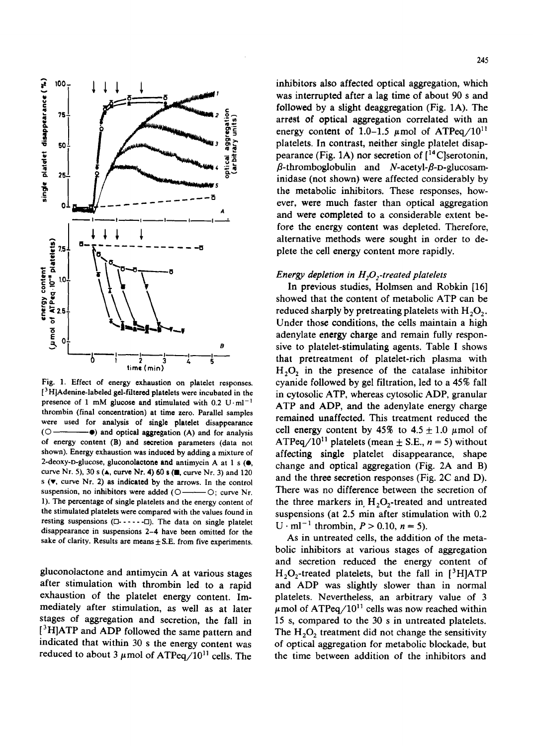

Fig. 1. Effect of energy exhaustion on platelet responses. [ 3 H]Adenine-labeled gel-filtered platelets were incubated in the presence of 1 mM glucose and stimulated with 0.2  $U \cdot ml^{-1}$ thrombin (final concentration) at time zero. Parallel samples were used for analysis of single platelet disappearance  $(O \rightarrow \bullet)$  and optical aggregation (A) and for analysis of energy content (B) and secretion parameters (data not shown). Energy exhaustion was induced by adding a mixture of 2-deoxy-D-glucose, gluconolactone and antimycin A at 1 s  $(\bullet,$ curve Nr. 5), 30 s ( $\blacktriangle$ , curve Nr. 4) 60 s ( $\blacksquare$ , curve Nr. 3) and 120 s  $(\nabla,$  curve Nr. 2) as indicated by the arrows. In the control suspension, no inhibitors were added  $(O \rightarrow O;$  curve Nr. 1). The percentage of single platelets and the energy content of the stimulated platelets were compared with the values found in resting suspensions  $(D - \cdots - D)$ . The data on single platelet disappearance in suspensions 2-4 have been omitted for the sake of clarity. Results are means  $\pm$  S.E. from five experiments.

gluconolactone and antimycin A at various stages after stimulation with thrombin led to a rapid exhaustion of the platelet energy content. Immediately after stimulation, as well as at later stages of aggregation and secretion, the fall in [<sup>3</sup>H]ATP and ADP followed the same pattern and indicated that within 30 s the energy content was reduced to about 3  $\mu$ mol of ATPeq/10<sup>11</sup> cells. The inhibitors also affected optical aggregation, which was interrupted after a lag time of about 90 s and followed by a slight deaggregation (Fig. 1A). The arrest of optical aggregation correlated with an energy content of 1.0–1.5  $\mu$ mol of ATPeq/10<sup>11</sup> platelets. In contrast, neither single platelet disappearance (Fig. 1A) nor secretion of  $\int_1^{14}$ C]serotonin,  $\beta$ -thromboglobulin and N-acetyl- $\beta$ -D-glucosaminidase (not shown) were affected considerably by the metabolic inhibitors. These responses, however, were much faster than optical aggregation and were completed to a considerable extent before the energy content was depleted. Therefore, alternative methods were sought in order to deplete the cell energy content more rapidly.

# *Energy depletion in H<sub>2</sub>O<sub>2</sub>-treated platelets*

In previous studies, Holmsen and Robkin [16] showed that the content of metabolic ATP can be reduced sharply by pretreating platelets with  $H_2O_2$ . Under those conditions, the cells maintain a high adenylate energy charge and remain fully responsive to platelet-stimulating agents. Table I shows that pretreatment of platelet-rich plasma with  $H<sub>2</sub>O<sub>2</sub>$  in the presence of the catalase inhibitor cyanide followed by gel filtration, led to a 45% fall in cytosolic ATP, whereas cytosolic ADP, granular ATP and ADP, and the adenylate energy charge remained unaffected. This treatment reduced the cell energy content by 45% to  $4.5 \pm 1.0 \mu$  mol of ATPeq/10<sup>11</sup> platelets (mean  $\pm$  S.E.,  $n = 5$ ) without affecting single platelet disappearance, shape change and optical aggregation (Fig. 2A and B) and the three secretion responses (Fig. 2C and D). There was no difference between the secretion of the three markers in  $H<sub>2</sub>O<sub>2</sub>$ -treated and untreated suspensions (at 2.5 min after stimulation with 0.2  $U \cdot ml^{-1}$  thrombin,  $P > 0.10$ ,  $n = 5$ ).

As in untreated cells, the addition of the metabolic inhibitors at various stages of aggregation and secretion reduced the energy content of  $H_2O_2$ -treated platelets, but the fall in [<sup>3</sup>H]ATP and ADP was slightly slower than in normal platelets. Nevertheless, an arbitrary value of 3  $\mu$ mol of ATPeq/10<sup>11</sup> cells was now reached within 15 s, compared to the 30 s in untreated platelets. The  $H_2O_2$  treatment did not change the sensitivity of optical aggregation for metabolic blockade, but the time between addition of the inhibitors and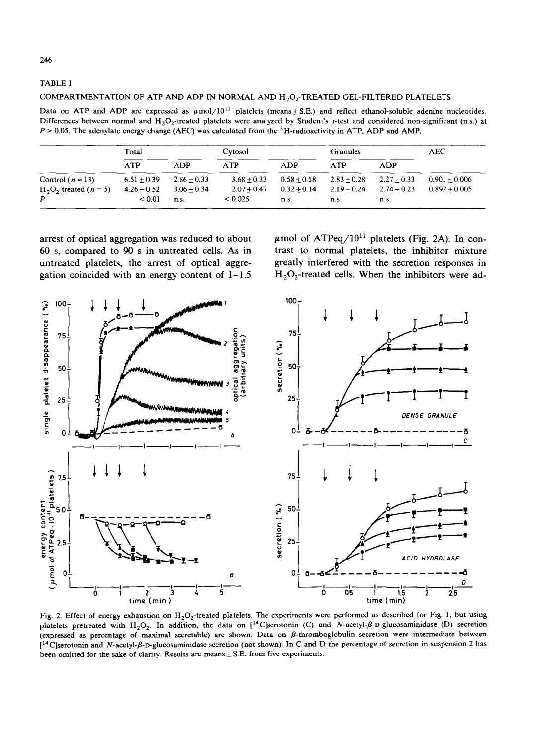246

TABLE I

#### COMPARTMENTATION OF ATP AND ADP IN NORMAL AND H<sub>2</sub>O<sub>2</sub>-TREATED GEL-FILTERED PLATELETS

Data on ATP and ADP are expressed as  $\mu$ mol/10<sup>11</sup> platelets (means $\pm$ S.E.) and reflect ethanol-soluble adenine nucleotides. Differences between normal and H<sub>2</sub>O<sub>2</sub>-treated platelets were analyzed by Student's t-test and considered non-significant (n.s.) at  $P > 0.05$ . The adenylate energy change (AEC) was calculated from the <sup>3</sup>H-radioactivity in ATP, ADP and AMP,

|                                   | Total         |               | Cytosol       |               | <b>Granules</b> |               | AEC.            |
|-----------------------------------|---------------|---------------|---------------|---------------|-----------------|---------------|-----------------|
|                                   | <b>ATP</b>    | <b>ADP</b>    | <b>ATP</b>    | <b>ADP</b>    | <b>ATP</b>      | ADP           |                 |
| Control $(n=13)$                  | $6.51 + 0.39$ | $2.86 + 0.33$ | $3.68 + 0.33$ | $0.58 + 0.18$ | $2.83 + 0.28$   | $2.27 + 0.33$ | $0.901 + 0.006$ |
| $H_2O_2$ -treated ( <i>n</i> = 5) | $4.26 + 0.52$ | $3.06 + 0.34$ | $2.07 + 0.47$ | $0.32 + 0.14$ | $2.19 + 0.24$   | $2.74 + 0.23$ | $0.892 + 0.005$ |
| P                                 | ${}_{0.01}$   | n.s.          | < 0.025       | n.s.          | n.s.            | n.s.          |                 |

arrest of optical aggregation was reduced to about 60 s, compared to 90 s in untreated cells. As in untreated platelets, the arrest of optical aggregation coincided with an energy content of  $1-1.5$ 

 $\mu$ mol of ATPeq/10<sup>11</sup> platelets (Fig. 2A). In contrast to normal platelets, the inhibitor mixture greatly interfered with the secretion responses in  $H<sub>2</sub>O<sub>2</sub>$ -treated cells. When the inhibitors were ad-



Fig. 2. Effect of energy exhaustion on  $H_2O_2$ -treated platelets. The experiments were performed as described for Fig. 1, but using platelets pretreated with H<sub>2</sub>O<sub>2</sub>. In addition, the data on  $[$ <sup>14</sup>C]serotonin (C) and N-acetyl- $\beta$ -D-glucosaminidase (D) secretion (expressed as percentage of maximal secretable) are shown. Data on  $\beta$ -thromboglobulin secretion were intermediate between [14C]serotonin and *N-acetyl-fl-D-glucosaminidase* secretion (not shown). In C and D the percentage of secretion in suspension 2 has been omitted for the sake of clarity. Results are means  $\pm$  S.E. from five experiments.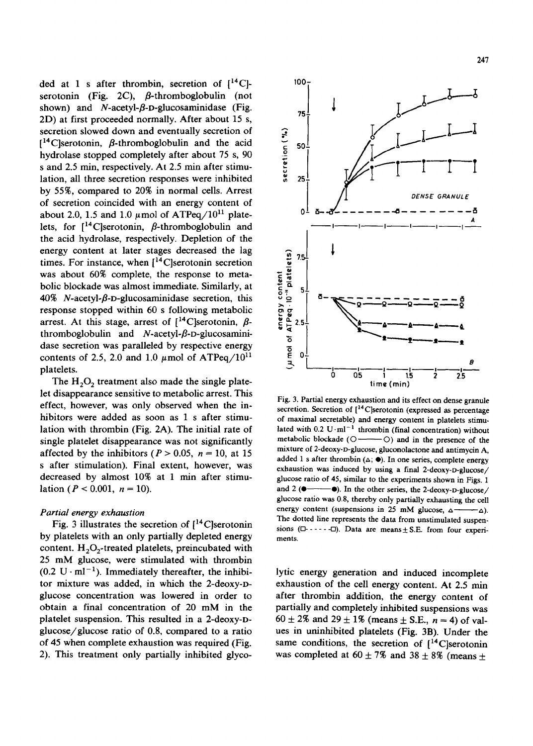ded at 1 s after thrombin, secretion of  $[{}^{14}C]$ serotonin (Fig. 2C),  $\beta$ -thromboglobulin (not shown) and *N*-acetyl-*B*-D-glucosaminidase (Fig. 2D) at first proceeded normally. After about 15 s, secretion slowed down and eventually secretion of  $[14]$ C serotonin,  $\beta$ -thromboglobulin and the acid hydrolase stopped completely after about 75 s, 90 s and 2.5 min, respectively. At 2.5 min after stimulation, all three secretion responses were inhibited by 55%, compared to 20% in normal cells. Arrest of secretion coincided with an energy content of about 2.0, 1.5 and 1.0  $\mu$ mol of ATPeq/10<sup>11</sup> platelets, for  $\int_1^{14}$ C]serotonin,  $\beta$ -thromboglobulin and the acid hydrolase, respectively. Depletion of the energy content at later stages decreased the lag times. For instance, when  $[{}^{14}C]$ serotonin secretion was about 60% complete, the response to metabolic blockade was almost immediate. Similarly, at 40% N-acetyl- $\beta$ -D-glucosaminidase secretion, this response stopped within 60 s following metabolic arrest. At this stage, arrest of  $[{}^{14}$ C]serotonin,  $\beta$ thromboglobulin and *N*-acetyl-β-D-glucosaminidase secretion was paralleled by respective energy contents of 2.5, 2.0 and 1.0  $\mu$ mol of ATPeq/10<sup>11</sup> platelets.

The  $H_2O_2$  treatment also made the single platelet disappearance sensitive to metabolic arrest. This effect, however, was only observed when the inhibitors were added as soon as 1 s after stimulation with thrombin (Fig. 2A). The initial rate of single platelet disappearance was not significantly affected by the inhibitors ( $P > 0.05$ ,  $n = 10$ , at 15 s after stimulation). Final extent, however, was decreased by almost 10% at 1 min after stimulation ( $P < 0.001$ ,  $n = 10$ ).

#### *Partial energy exhaustion*

Fig. 3 illustrates the secretion of  $[14C]$ serotonin by platelets with an only partially depleted energy content.  $H_2O_2$ -treated platelets, preincubated with 25 mM glucose, were stimulated with thrombin  $(0.2 \text{ U} \cdot \text{ml}^{-1})$ . Immediately thereafter, the inhibitor mixture was added, in which the 2-deoxy-Dglucose concentration was lowered in order to obtain a final concentration of 20 mM in the platelet suspension. This resulted in a 2-deoxy-Dglucose/glucose ratio of 0.8, compared to a ratio of 45 when complete exhaustion was required (Fig. 2). This treatment only partially inhibited glyco-



Fig. 3. Partial energy exhaustion and its effect on dense granule secretion. Secretion of  $[{}^{14}C]$ serotonin (expressed as percentage of maximal secretable) and energy content in platelets stimulated with 0.2 U·ml<sup>-1</sup> thrombin (final concentration) without metabolic blockade ( $\bigcirc$ —— $\bigcirc$ ) and in the presence of the  $\circ$ ) and in the presence of the mixture of 2-deoxy-D-glucose, gluconolactone and antimycin A, added 1 s after thrombin  $(\triangle; \bullet)$ . In one series, complete energy exhaustion was induced by using a final 2-deoxy-D-glucose/ glucose ratio of 45, similar to the experiments shown in Figs. 1 and 2 ( $\bullet$ — $\bullet$ ). In the other series, the 2-deoxy-D-glucose/ glucose ratio was 0.8, thereby only partially exhausting the cell energy content (suspensions in 25 mM glucose,  $\Delta \rightarrow \Delta$ ). The dotted line represents the data from unstimulated suspensions  $(D$ ---- $D)$ . Data are means  $\pm$  S.E. from four experiments.

lytic energy generation and induced incomplete exhaustion of the cell energy content. At 2.5 min after thrombin addition, the energy content of partially and completely inhibited suspensions was  $60 \pm 2\%$  and  $29 \pm 1\%$  (means  $\pm$  S.E.,  $n = 4$ ) of values in uninhibited platelets (Fig. 3B). Under the same conditions, the secretion of  $[14]$ C]serotonin was completed at  $60 \pm 7\%$  and  $38 \pm 8\%$  (means  $\pm$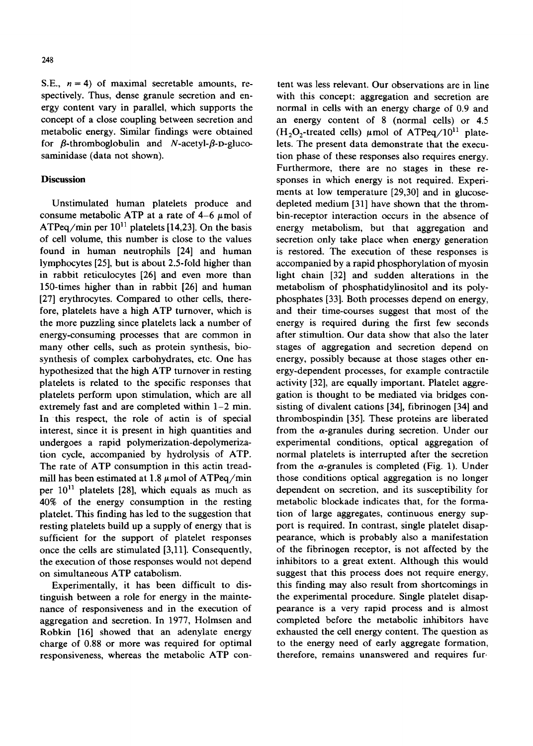248

S.E.,  $n = 4$ ) of maximal secretable amounts, respectively. Thus, dense granule secretion and energy content vary in parallel, which supports the concept of a close coupling between secretion and metabolic energy. Similar findings were obtained for  $\beta$ -thromboglobulin and N-acetyl- $\beta$ -D-glucosaminidase (data not shown).

# **Discussion**

Unstimulated human platelets produce and consume metabolic ATP at a rate of  $4-6~\mu$ mol of ATPeq/min per  $10^{11}$  platelets [14,23]. On the basis of cell volume, this number is close to the values found in human neutrophils [24] and human lymphocytes [25], but is about 2.5-fold higher than in rabbit reticulocytes [26] and even more than 150-times higher than in rabbit [26] and human [27] erythrocytes. Compared to other cells, therefore, platelets have a high ATP turnover, which is the more puzzling since platelets lack a number of energy-consuming processes that are common in many other cells, such as protein synthesis, biosynthesis of complex carbohydrates, etc. One has hypothesized that the high ATP turnover in resting platelets is related to the specific responses that platelets perform upon stimulation, which are all extremely fast and are completed within  $1-2$  min. In this respect, the role of actin is of special interest, since it is present in high quantities and undergoes a rapid polymerization-depolymerization cycle, accompanied by hydrolysis of ATP. The rate of ATP consumption in this actin treadmill has been estimated at 1.8  $\mu$ mol of ATPeq/min per  $10^{11}$  platelets [28], which equals as much as 40% of the energy consumption in the resting platelet. This finding has led to the suggestion that resting platelets build up a supply of energy that is sufficient for the support of platelet responses once the cells are stimulated [3,11]. Consequently, the execution of those responses would not depend on simultaneous ATP catabolism.

Experimentally, it has been difficult to distinguish between a role for energy in the maintenance of responsiveness and in the execution of aggregation and secretion. In 1977, Holmsen and Robkin [16] showed that an adenylate energy charge of 0.88 or more was required for optimal responsiveness, whereas the metabolic ATP con-

tent was less relevant. Our observations are in line with this concept: aggregation and secretion are normal in cells with an energy charge of 0.9 and an energy content of 8 (normal cells) or 4.5  $(H<sub>2</sub>O<sub>2</sub>$ -treated cells)  $\mu$ mol of ATPeq/10<sup>11</sup> platelets. The present data demonstrate that the execution phase of these responses also requires energy. Furthermore, there are no stages in these responses in which energy is not required. Experiments at low temperature [29,30] and in glucosedepleted medium [31] have shown that the thrombin-receptor interaction occurs in the absence of energy metabolism, but that aggregation and secretion only take place when energy generation is restored. The execution of these responses is accompanied by a rapid phosphorylation of myosin light chain [32] and sudden alterations in the metabolism of phosphatidylinositol and its polyphosphates [33]. Both processes depend on energy, and their time-courses suggest that most of the energy is required during the first few seconds after stimultion. Our data show that also the later stages of aggregation and secretion depend on energy, possibly because at those stages other energy-dependent processes, for example contractile activity [32], are equally important. Platelet aggregation is thought to be mediated via bridges consisting of divalent cations [34], fibrinogen [34] and thrombospindin [35]. These proteins are liberated from the  $\alpha$ -granules during secretion. Under our experimental conditions, optical aggregation of normal platelets is interrupted after the secretion from the  $\alpha$ -granules is completed (Fig. 1). Under those conditions optical aggregation is no longer dependent on secretion, and its susceptibility for metabolic blockade indicates that, for the formation of large aggregates, continuous energy support is required. In contrast, single platelet disappearance, which is probably also a manifestation of the fibrinogen receptor, is not affected by the inhibitors to a great extent. Although this would suggest that this process does not require energy, this finding may also result from shortcomings in the experimental procedure. Single platelet disappearance is a very rapid process and is almost completed before the metabolic inhibitors have exhausted the cell energy content. The question as to the energy need of early aggregate formation, therefore, remains unanswered and requires fur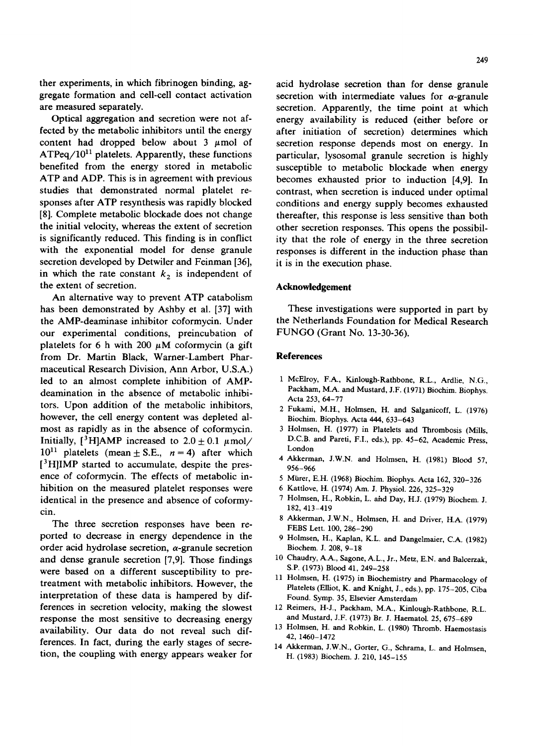ther experiments, in which fibrinogen binding, aggregate formation and cell-cell contact activation are measured separately.

Optical aggregation and secretion were not affected by the metabolic inhibitors until the energy content had dropped below about  $3 \mu$ mol of  $ATPeq/10^{11}$  platelets. Apparently, these functions benefited from the energy stored in metabolic ATP and ADP. This is in agreement with previous studies that demonstrated normal platelet responses after ATP resynthesis was rapidly blocked [8]. Complete metabolic blockade does not change the initial velocity, whereas the extent of secretion is significantly reduced. This finding is in conflict with the exponential model for dense granule secretion developed by Detwiler and Feinman [36], in which the rate constant  $k_2$  is independent of the extent of secretion.

An alternative way to prevent ATP catabolism has been demonstrated by Ashby et al. [37] with the AMP-deaminase inhibitor coformycin. Under our experimental conditions, preincubation of platelets for 6 h with 200  $\mu$ M coformycin (a gift from Dr. Martin Black, Warner-Lambert Pharmaceutical Research Division, Ann Arbor, U.S.A.) led to an almost complete inhibition of AMPdeamination in the absence of metabolic inhibitors. Upon addition of the metabolic inhibitors, however, the cell energy content was depleted almost as rapidly as in the absence of coformycin. Initially,  $[3H]$ AMP increased to  $2.0 \pm 0.1 \mu$ mol/  $10^{11}$  platelets (mean  $\pm$  S.E.,  $n = 4$ ) after which <sup>3</sup>H]IMP started to accumulate, despite the presence of coformycin. The effects of metabolic inhibition on the measured platelet responses were identical in the presence and absence of coformycin.

The three secretion responses have been reported to decrease in energy dependence in the order acid hydrolase secretion,  $\alpha$ -granule secretion and dense granule secretion [7,9]. Those findings were based on a different susceptibility to pretreatment with metabolic inhibitors. However, the interpretation of these data is hampered by differences in secretion velocity, making the slowest response the most sensitive to decreasing energy availabihty. Our data do not reveal such differences. In fact, during the early stages of secretion, the couphng with energy appears weaker for

acid hydrolase secretion than for dense granule secretion with intermediate values for  $\alpha$ -granule secretion. Apparently, the time point at which energy availability is reduced (either before or after initiation of secretion) determines which secretion response depends most on energy. In particular, lysosomal granule secretion is highly susceptible to metabolic blockade when energy becomes exhausted prior to induction [4,9]. In contrast, when secretion is induced under optimal conditions and energy supply becomes exhausted thereafter, this response is less sensitive than both other secretion responses. This opens the possibility that the role of energy in the three secretion responses is different in the induction phase than it is in the execution phase.

### **Acknowledgement**

These investigations were supported in part by the Netherlands Foundation for Medical Research FUNGO (Grant No. 13-30-36).

#### **References**

- 1 McElroy, F.A., Kinlough-Rathbone, R.L., Ardlie, N.G., Packham, M.A. and Mustard, J.F. (1971) Biochim. Biophys. Acta 253, 64-77
- 2 Fukami, M.H., Holmsen, H. and Salganicoff, L. (1976) Biochim. Biophys. Acta 444, 633-643
- 3 Holmsen, H. (1977) in Platelets and Thrombosis (Mills, D.C.B. and Pareti, F.I., eds.), pp. 45-62, Academic Press, London
- 4 Akkerman, J.W.N. and Holmsen, H. (1981) Blood 57, 956-966
- 5 Mürer, E.H. (1968) Biochim. Biophys. Acta 162, 320-326
- 6 Kattlove, H. (1974) Am. J. Physiol. 226, 325-329
- 7 Holmsen, H., Robkin, L. ahd Day, H.J. (1979) Biochem. J. 182, 413-419
- 8 Akkerman, J.W.N., Holmsen, H. and Driver, H.A. (1979) FEBS Lett. 100, 286-290
- 9 Holmsen, H., Kaplan, K.L. and Dangelmaier, C.A. (1982) Biochem. J. 208, 9-18
- 10 Chaudry, A.A., Sagone, A.L., Jr., Metz, E.N. and Balcerzak, S.P. (1973) Blood 41, 249-258
- 11 Holmsen, H. (1975) in Biochemistry and Pharmacology of Platelets (Elliot, K. and Knight, J., eds.), pp. 175-205, Ciba Found. Symp. 35, Elsevier Amsterdam
- 12 Reimers, H-J., Packham, M.A., Kinlough-Rathbone, R.L. and Mustard, J.F. (1973) Br. J. Haematol. 25, 675-689
- 13 Holmsen, H. and Robkin, L. (1980) Thromb. Haemostasis 42, 1460-1472
- 14 Akkerman, J.W.N., Gorter, G., Schrama, L. and Holmsen, H. (1983) Biochem. J. 210, 145-155